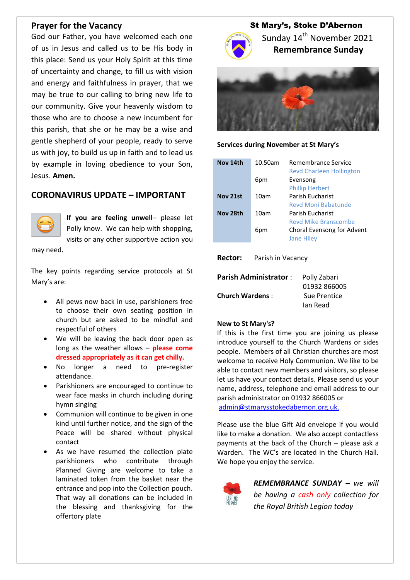### **Prayer for the Vacancy**

God our Father, you have welcomed each one of us in Jesus and called us to be His body in this place: Send us your Holy Spirit at this time of uncertainty and change, to fill us with vision and energy and faithfulness in prayer, that we may be true to our calling to bring new life to our community. Give your heavenly wisdom to those who are to choose a new incumbent for this parish, that she or he may be a wise and gentle shepherd of your people, ready to serve us with joy, to build us up in faith and to lead us by example in loving obedience to your Son, Jesus. **Amen.**

### **CORONAVIRUS UPDATE – IMPORTANT**



**If you are feeling unwell**– please let Polly know. We can help with shopping, visits or any other supportive action you

may need.

The key points regarding service protocols at St Mary's are:

- All pews now back in use, parishioners free to choose their own seating position in church but are asked to be mindful and respectful of others
- We will be leaving the back door open as long as the weather allows – **please come dressed appropriately as it can get chilly.**
- No longer a need to pre-register attendance.
- Parishioners are encouraged to continue to wear face masks in church including during hymn singing
- Communion will continue to be given in one kind until further notice, and the sign of the Peace will be shared without physical contact
- As we have resumed the collection plate parishioners who contribute through Planned Giving are welcome to take a laminated token from the basket near the entrance and pop into the Collection pouch. That way all donations can be included in the blessing and thanksgiving for the offertory plate

# St Mary's, Stoke D'Abernon



Sunday 14<sup>th</sup> November 2021  **Remembrance Sunday**



#### **Services during November at St Mary's**

| Nov 14th | 10.50am | Remembrance Service<br><b>Revd Charleen Hollington</b> |
|----------|---------|--------------------------------------------------------|
|          | 6pm     | Evensong                                               |
|          |         | <b>Phillip Herbert</b>                                 |
| Nov 21st | 10am    | Parish Fucharist                                       |
|          |         | Reyd Moni Babatunde                                    |
| Nov 28th | 10am    | Parish Fucharist                                       |
|          |         | <b>Revd Mike Branscombe</b>                            |
|          | 6pm     | Choral Evensong for Advent<br><b>Jane Hiley</b>        |

**Rector:** Parish in Vacancy

| <b>Parish Administrator:</b> | Polly Zabari |
|------------------------------|--------------|
|                              | 01932 866005 |
| <b>Church Wardens:</b>       | Sue Prentice |
|                              | lan Read     |

#### **New to St Mary's?**

If this is the first time you are joining us please introduce yourself to the Church Wardens or sides people. Members of all Christian churches are most welcome to receive Holy Communion. We like to be able to contact new members and visitors, so please let us have your contact details. Please send us your name, address, telephone and email address to our parish administrator on 01932 866005 or [admin@stmarysstokedabernon.org.uk.](mailto:admin@stmarysstokedabernon.org.uk)

Please use the blue Gift Aid envelope if you would like to make a donation. We also accept contactless payments at the back of the Church – please ask a Warden. The WC's are located in the Church Hall. We hope you enjoy the service.



*REMEMBRANCE SUNDAY – we will be having a cash only collection for the Royal British Legion today*